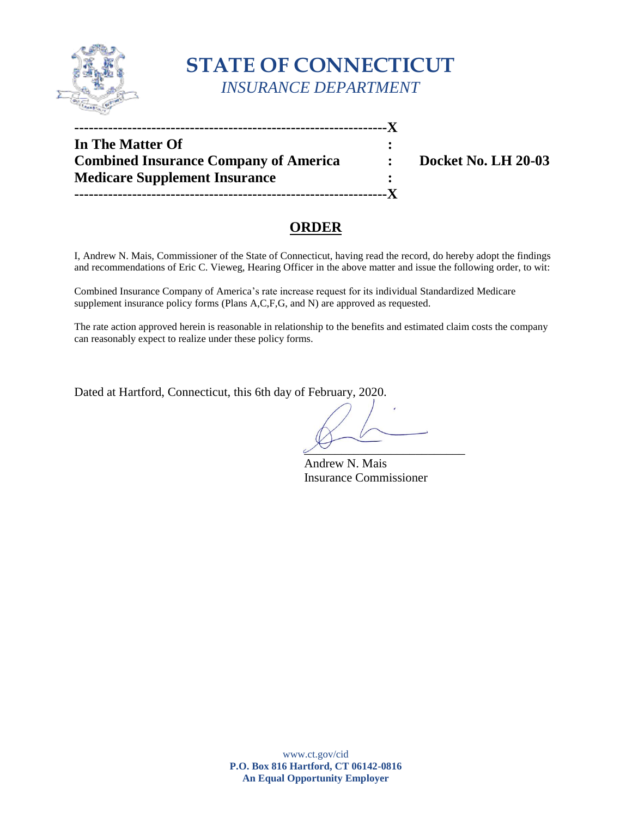

# **STATE OF CONNECTICUT** *INSURANCE DEPARTMENT*

| In The Matter Of                             |                     |
|----------------------------------------------|---------------------|
| <b>Combined Insurance Company of America</b> | Docket No. LH 20-03 |
| <b>Medicare Supplement Insurance</b>         |                     |
|                                              |                     |

## **ORDER**

I, Andrew N. Mais, Commissioner of the State of Connecticut, having read the record, do hereby adopt the findings and recommendations of Eric C. Vieweg, Hearing Officer in the above matter and issue the following order, to wit:

Combined Insurance Company of America's rate increase request for its individual Standardized Medicare supplement insurance policy forms (Plans A,C,F,G, and N) are approved as requested.

The rate action approved herein is reasonable in relationship to the benefits and estimated claim costs the company can reasonably expect to realize under these policy forms.

Dated at Hartford, Connecticut, this 6th day of February, 2020.

 $\overline{\phantom{a}}$ 

Andrew N. Mais Insurance Commissioner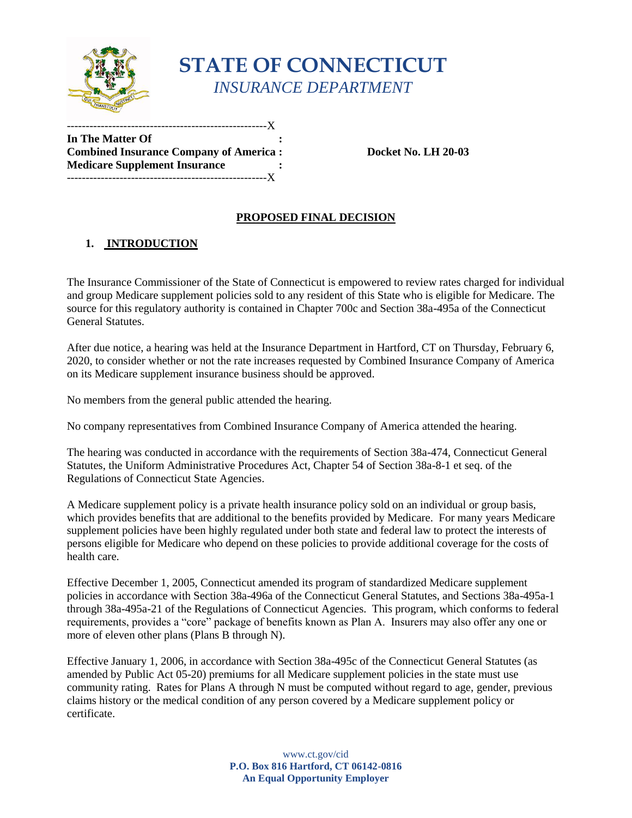

# **STATE OF CONNECTICUT** *INSURANCE DEPARTMENT*

**In The Matter Of : Combined Insurance Company of America : Docket No. LH 20-03 Medicare Supplement Insurance :**  -----------------------------------------------------X

-------------------X

### **PROPOSED FINAL DECISION**

### **1. INTRODUCTION**

The Insurance Commissioner of the State of Connecticut is empowered to review rates charged for individual and group Medicare supplement policies sold to any resident of this State who is eligible for Medicare. The source for this regulatory authority is contained in Chapter 700c and Section 38a-495a of the Connecticut General Statutes.

After due notice, a hearing was held at the Insurance Department in Hartford, CT on Thursday, February 6, 2020, to consider whether or not the rate increases requested by Combined Insurance Company of America on its Medicare supplement insurance business should be approved.

No members from the general public attended the hearing.

No company representatives from Combined Insurance Company of America attended the hearing.

The hearing was conducted in accordance with the requirements of Section 38a-474, Connecticut General Statutes, the Uniform Administrative Procedures Act, Chapter 54 of Section 38a-8-1 et seq. of the Regulations of Connecticut State Agencies.

A Medicare supplement policy is a private health insurance policy sold on an individual or group basis, which provides benefits that are additional to the benefits provided by Medicare. For many years Medicare supplement policies have been highly regulated under both state and federal law to protect the interests of persons eligible for Medicare who depend on these policies to provide additional coverage for the costs of health care.

Effective December 1, 2005, Connecticut amended its program of standardized Medicare supplement policies in accordance with Section 38a-496a of the Connecticut General Statutes, and Sections 38a-495a-1 through 38a-495a-21 of the Regulations of Connecticut Agencies. This program, which conforms to federal requirements, provides a "core" package of benefits known as Plan A. Insurers may also offer any one or more of eleven other plans (Plans B through N).

Effective January 1, 2006, in accordance with Section 38a-495c of the Connecticut General Statutes (as amended by Public Act 05-20) premiums for all Medicare supplement policies in the state must use community rating. Rates for Plans A through N must be computed without regard to age, gender, previous claims history or the medical condition of any person covered by a Medicare supplement policy or certificate.

> www.ct.gov/cid **P.O. Box 816 Hartford, CT 06142-0816 An Equal Opportunity Employer**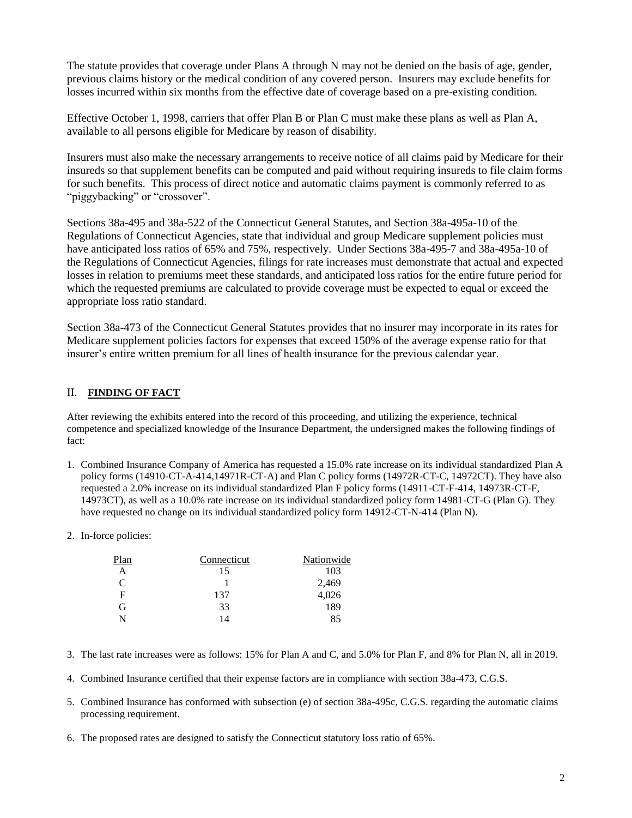The statute provides that coverage under Plans A through N may not be denied on the basis of age, gender, previous claims history or the medical condition of any covered person. Insurers may exclude benefits for losses incurred within six months from the effective date of coverage based on a pre-existing condition.

Effective October 1, 1998, carriers that offer Plan B or Plan C must make these plans as well as Plan A, available to all persons eligible for Medicare by reason of disability.

Insurers must also make the necessary arrangements to receive notice of all claims paid by Medicare for their insureds so that supplement benefits can be computed and paid without requiring insureds to file claim forms for such benefits. This process of direct notice and automatic claims payment is commonly referred to as "piggybacking" or "crossover".

Sections 38a-495 and 38a-522 of the Connecticut General Statutes, and Section 38a-495a-10 of the Regulations of Connecticut Agencies, state that individual and group Medicare supplement policies must have anticipated loss ratios of 65% and 75%, respectively. Under Sections 38a-495-7 and 38a-495a-10 of the Regulations of Connecticut Agencies, filings for rate increases must demonstrate that actual and expected losses in relation to premiums meet these standards, and anticipated loss ratios for the entire future period for which the requested premiums are calculated to provide coverage must be expected to equal or exceed the appropriate loss ratio standard.

Section 38a-473 of the Connecticut General Statutes provides that no insurer may incorporate in its rates for Medicare supplement policies factors for expenses that exceed 150% of the average expense ratio for that insurer's entire written premium for all lines of health insurance for the previous calendar year.

#### II. **FINDING OF FACT**

After reviewing the exhibits entered into the record of this proceeding, and utilizing the experience, technical competence and specialized knowledge of the Insurance Department, the undersigned makes the following findings of fact:

- 1. Combined Insurance Company of America has requested a 15.0% rate increase on its individual standardized Plan A policy forms (14910-CT-A-414,14971R-CT-A) and Plan C policy forms (14972R-CT-C, 14972CT). They have also requested a 2.0% increase on its individual standardized Plan F policy forms (14911-CT-F-414, 14973R-CT-F, 14973CT), as well as a 10.0% rate increase on its individual standardized policy form 14981-CT-G (Plan G). They have requested no change on its individual standardized policy form 14912-CT-N-414 (Plan N).
- 2. In-force policies:

| Plan | Connecticut | Nationwide |
|------|-------------|------------|
| А    | 15          | 103        |
| C    |             | 2,469      |
| F    | 137         | 4,026      |
| G    | 33          | 189        |
|      | 14          | 85         |

- 3. The last rate increases were as follows: 15% for Plan A and C, and 5.0% for Plan F, and 8% for Plan N, all in 2019.
- 4. Combined Insurance certified that their expense factors are in compliance with section 38a-473, C.G.S.
- 5. Combined Insurance has conformed with subsection (e) of section 38a-495c, C.G.S. regarding the automatic claims processing requirement.
- 6. The proposed rates are designed to satisfy the Connecticut statutory loss ratio of 65%.